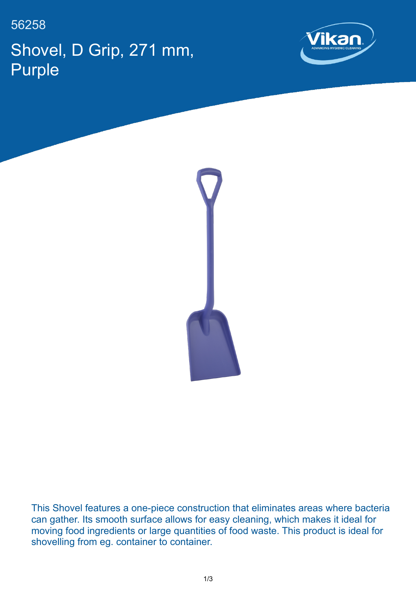56258 Shovel, D Grip, 271 mm, Purple





This Shovel features a one-piece construction that eliminates areas where bacteria can gather. Its smooth surface allows for easy cleaning, which makes it ideal for moving food ingredients or large quantities of food waste. This product is ideal for shovelling from eg. container to container.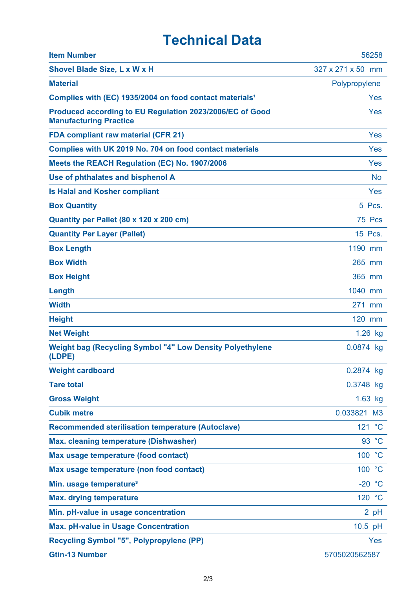## **Technical Data**

| <b>Item Number</b>                                                                        | 56258             |
|-------------------------------------------------------------------------------------------|-------------------|
| Shovel Blade Size, L x W x H                                                              | 327 x 271 x 50 mm |
| <b>Material</b>                                                                           | Polypropylene     |
| Complies with (EC) 1935/2004 on food contact materials <sup>1</sup>                       | Yes               |
| Produced according to EU Regulation 2023/2006/EC of Good<br><b>Manufacturing Practice</b> | Yes               |
| <b>FDA compliant raw material (CFR 21)</b>                                                | Yes               |
| Complies with UK 2019 No. 704 on food contact materials                                   | Yes               |
| Meets the REACH Regulation (EC) No. 1907/2006                                             | Yes               |
| Use of phthalates and bisphenol A                                                         | <b>No</b>         |
| <b>Is Halal and Kosher compliant</b>                                                      | Yes               |
| <b>Box Quantity</b>                                                                       | 5 Pcs.            |
| Quantity per Pallet (80 x 120 x 200 cm)                                                   | 75 Pcs            |
| <b>Quantity Per Layer (Pallet)</b>                                                        | 15 Pcs.           |
| <b>Box Length</b>                                                                         | 1190 mm           |
| <b>Box Width</b>                                                                          | 265 mm            |
| <b>Box Height</b>                                                                         | 365 mm            |
| Length                                                                                    | 1040 mm           |
| <b>Width</b>                                                                              | 271 mm            |
| <b>Height</b>                                                                             | 120 mm            |
| <b>Net Weight</b>                                                                         | $1.26$ kg         |
| <b>Weight bag (Recycling Symbol "4" Low Density Polyethylene</b><br>(LDPE)                | 0.0874 kg         |
| <b>Weight cardboard</b>                                                                   | 0.2874 kg         |
| <b>Tare total</b>                                                                         | 0.3748 kg         |
| <b>Gross Weight</b>                                                                       | $1.63$ kg         |
| <b>Cubik metre</b>                                                                        | 0.033821 M3       |
| <b>Recommended sterilisation temperature (Autoclave)</b>                                  | 121 °C            |
| <b>Max. cleaning temperature (Dishwasher)</b>                                             | 93 °C             |
| Max usage temperature (food contact)                                                      | 100 °C            |
| Max usage temperature (non food contact)                                                  | 100 °C            |
| Min. usage temperature <sup>3</sup>                                                       | $-20 °C$          |
| <b>Max. drying temperature</b>                                                            | 120 °C            |
| Min. pH-value in usage concentration                                                      | 2 pH              |
| <b>Max. pH-value in Usage Concentration</b>                                               | $10.5$ pH         |
| <b>Recycling Symbol "5", Polypropylene (PP)</b>                                           | <b>Yes</b>        |
| <b>Gtin-13 Number</b>                                                                     | 5705020562587     |